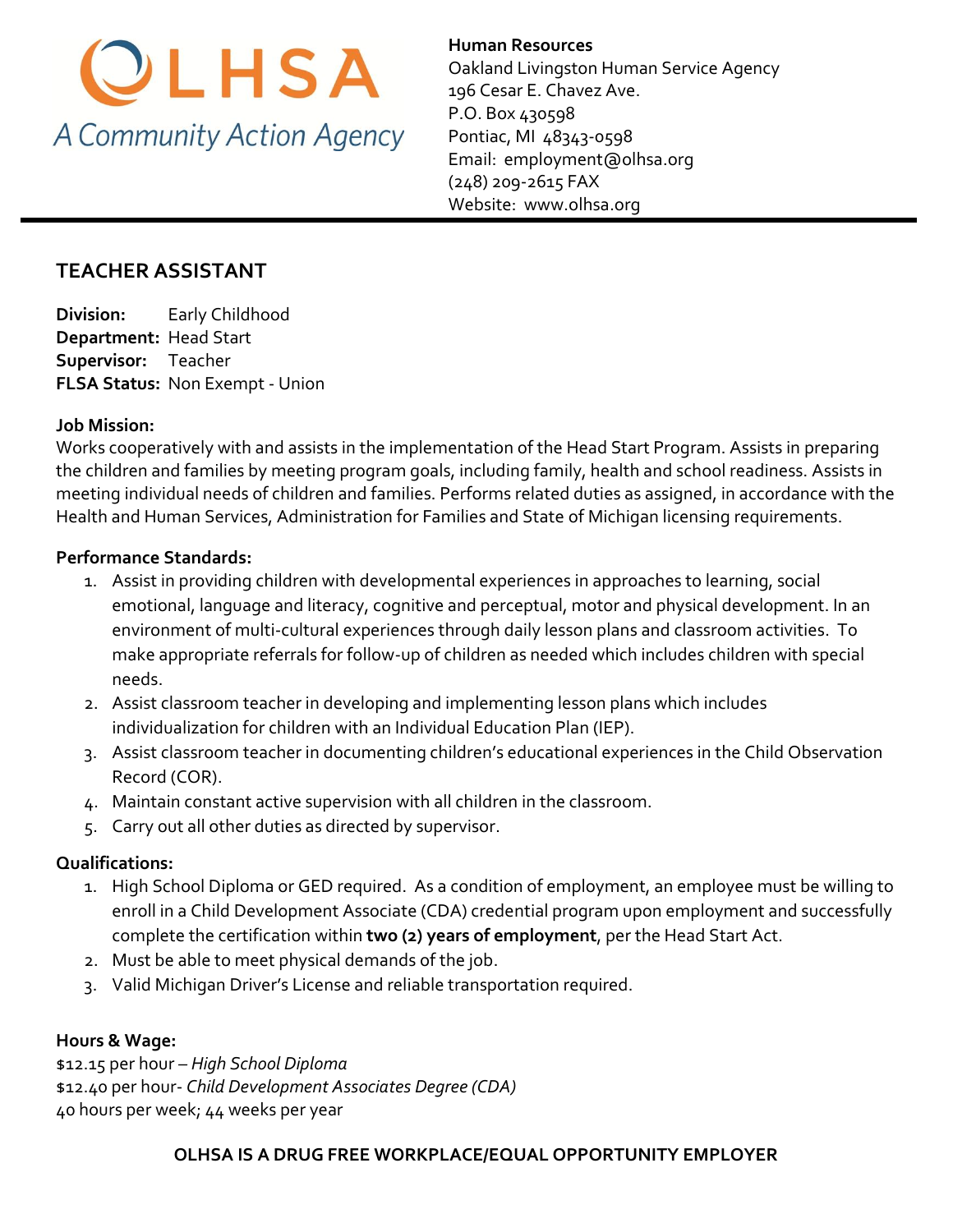

**Human Resources**  Oakland Livingston Human Service Agency 196 Cesar E. Chavez Ave. P.O. Box 430598 Pontiac, MI 48343-0598 Email: [employment@olhsa.org](mailto:Careers@olhsa.org) (248) 209-2615 FAX Website: www.olhsa.org

## **TEACHER ASSISTANT**

**Division:** Early Childhood **Department:** Head Start **Supervisor:** Teacher **FLSA Status:** Non Exempt - Union

#### **Job Mission:**

Works cooperatively with and assists in the implementation of the Head Start Program. Assists in preparing the children and families by meeting program goals, including family, health and school readiness. Assists in meeting individual needs of children and families. Performs related duties as assigned, in accordance with the Health and Human Services, Administration for Families and State of Michigan licensing requirements.

#### **Performance Standards:**

- 1. Assist in providing children with developmental experiences in approaches to learning, social emotional, language and literacy, cognitive and perceptual, motor and physical development. In an environment of multi-cultural experiences through daily lesson plans and classroom activities. To make appropriate referrals for follow-up of children as needed which includes children with special needs.
- 2. Assist classroom teacher in developing and implementing lesson plans which includes individualization for children with an Individual Education Plan (IEP).
- 3. Assist classroom teacher in documenting children's educational experiences in the Child Observation Record (COR).
- 4. Maintain constant active supervision with all children in the classroom.
- 5. Carry out all other duties as directed by supervisor.

#### **Qualifications:**

- 1. High School Diploma or GED required. As a condition of employment, an employee must be willing to enroll in a Child Development Associate (CDA) credential program upon employment and successfully complete the certification within **two (2) years of employment**, per the Head Start Act.
- 2. Must be able to meet physical demands of the job.
- 3. Valid Michigan Driver's License and reliable transportation required.

#### **Hours & Wage:**

\$12.15 per hour *– High School Diploma* \$12.40 per hour- *Child Development Associates Degree (CDA)* 40 hours per week; 44 weeks per year

#### **OLHSA IS A DRUG FREE WORKPLACE/EQUAL OPPORTUNITY EMPLOYER**